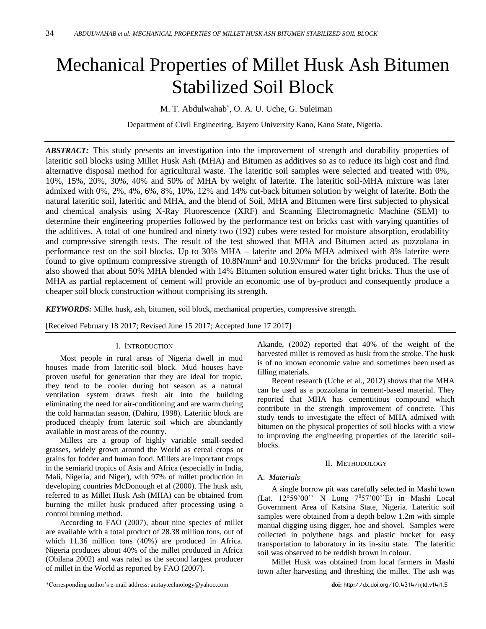# Mechanical Properties of Millet Husk Ash Bitumen Stabilized Soil Block

M. T. Abdulwahab\* , O. A. U. Uche, G. Suleiman

Department of Civil Engineering, Bayero University Kano, Kano State, Nigeria.

*ABSTRACT:* This study presents an investigation into the improvement of strength and durability properties of lateritic soil blocks using Millet Husk Ash (MHA) and Bitumen as additives so as to reduce its high cost and find alternative disposal method for agricultural waste. The lateritic soil samples were selected and treated with 0%, 10%, 15%, 20%, 30%, 40% and 50% of MHA by weight of laterite. The lateritic soil-MHA mixture was later admixed with 0%, 2%, 4%, 6%, 8%, 10%, 12% and 14% cut-back bitumen solution by weight of laterite. Both the natural lateritic soil, lateritic and MHA, and the blend of Soil, MHA and Bitumen were first subjected to physical and chemical analysis using X-Ray Fluorescence (XRF) and Scanning Electromagnetic Machine (SEM) to determine their engineering properties followed by the performance test on bricks cast with varying quantities of the additives. A total of one hundred and ninety two (192) cubes were tested for moisture absorption, erodability and compressive strength tests. The result of the test showed that MHA and Bitumen acted as pozzolana in performance test on the soil blocks. Up to 30% MHA – laterite and 20% MHA admixed with 8% laterite were found to give optimum compressive strength of  $10.8N/mm^2$  and  $10.9N/mm^2$  for the bricks produced. The result also showed that about 50% MHA blended with 14% Bitumen solution ensured water tight bricks. Thus the use of MHA as partial replacement of cement will provide an economic use of by-product and consequently produce a cheaper soil block construction without comprising its strength.

*KEYWORDS:* Millet husk, ash, bitumen, soil block, mechanical properties, compressive strength.

[Received February 18 2017; Revised June 15 2017; Accepted June 17 2017]

## I. INTRODUCTION

Most people in rural areas of Nigeria dwell in mud houses made from lateritic-soil block. Mud houses have proven useful for generation that they are ideal for tropic, they tend to be cooler during hot season as a natural ventilation system draws fresh air into the building eliminating the need for air-conditioning and are warm during the cold harmattan season, (Dahiru, 1998). Lateritic block are produced cheaply from latertic soil which are abundantly available in most areas of the country.

Millets are a group of highly variable small-seeded [grasses,](https://en.wikipedia.org/wiki/Grasses) widely grown around the World as [cereal](https://en.wikipedia.org/wiki/Cereal) [crops](https://en.wikipedia.org/wiki/Crops) or grains for [fodder](https://en.wikipedia.org/wiki/Fodder) and human food. Millets are important crops in the [semiarid tropics](https://en.wikipedia.org/wiki/Semi-arid_climate) of Asia and Africa (especially in [India,](https://en.wikipedia.org/wiki/India) [Mali,](https://en.wikipedia.org/wiki/Mali) [Nigeria,](https://en.wikipedia.org/wiki/Nigeria) and [Niger\)](https://en.wikipedia.org/wiki/Niger), with 97% of millet production in [developing countries](https://en.wikipedia.org/wiki/Developing_country) McDonough et al (2000). The husk ash, referred to as Millet Husk Ash (MHA) can be obtained from burning the millet husk produced after processing using a control burning method.

According to FAO (2007), about nine species of millet are available with a total product of 28.38 million tons, out of which 11.36 million tons (40%) are produced in Africa. Nigeria produces about 40% of the millet produced in Africa (Obilana 2002) and was rated as the second largest producer of millet in the World as reported by FAO (2007).

\*Corresponding author's e-mail address: [amtaytechnology@yahoo.com](mailto:amtaytechnology@yahoo.com) **doi:** http://dx.doi.org/10.4314/njtd.v14i1.5

Akande, (2002) reported that 40% of the weight of the harvested millet is removed as husk from the stroke. The husk is of no known economic value and sometimes been used as filling materials.

Recent research (Uche et al., 2012) shows that the MHA can be used as a pozzolana in cement-based material. They reported that MHA has cementitious compound which contribute in the strength improvement of concrete. This study tends to investigate the effect of MHA admixed with bitumen on the physical properties of soil blocks with a view to improving the engineering properties of the lateritic soilblocks.

## II. METHODOLOGY

## A. *Materials*

A single borrow pit was carefully selected in Mashi town (Lat. 12°59'00'' N Long 7 <sup>0</sup>57'00''E) in Mashi Local Government Area of Katsina State, Nigeria. Lateritic soil samples were obtained from a depth below 1.2m with simple manual digging using digger, hoe and shovel. Samples were collected in polythene bags and plastic bucket for easy transportation to laboratory in its in-situ state. The lateritic soil was observed to be reddish brown in colour.

Millet Husk was obtained from local farmers in Mashi town after harvesting and threshing the millet. The ash was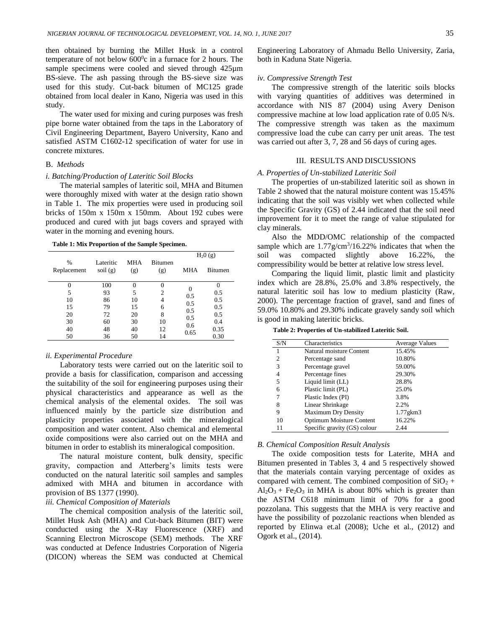then obtained by burning the Millet Husk in a control temperature of not below  $600^{\circ}$ c in a furnace for 2 hours. The sample specimens were cooled and sieved through 425 $\mu$ m BS-sieve. The ash passing through the BS-sieve size was used for this study. Cut-back bitumen of MC125 grade obtained from local dealer in Kano, Nigeria was used in this study.

The water used for mixing and curing purposes was fresh pipe borne water obtained from the taps in the Laboratory of Civil Engineering Department, Bayero University, Kano and satisfied ASTM C1602-12 specification of water for use in concrete mixtures.

## B. *Methods*

#### *i. Batching/Production of Lateritic Soil Blocks*

The material samples of lateritic soil, MHA and Bitumen were thoroughly mixed with water at the design ratio shown in Table 1. The mix properties were used in producing soil bricks of 150m x 150m x 150mm. About 192 cubes were produced and cured with jut bags covers and sprayed with water in the morning and evening hours.

**Table 1: Mix Proportion of the Sample Specimen.**

|                              |                                                 |                   |                       |            | $H_2O(g)$      |
|------------------------------|-------------------------------------------------|-------------------|-----------------------|------------|----------------|
| $\frac{0}{0}$<br>Replacement | Lateritic<br>$\text{soil}\left(\text{g}\right)$ | <b>MHA</b><br>(g) | <b>Bitumen</b><br>(g) | <b>MHA</b> | <b>Bitumen</b> |
|                              | 100                                             |                   |                       |            |                |
| 5                            | 93                                              | 5                 | 2                     | 0.5        | 0.5            |
| 10                           | 86                                              | 10                | 4                     | 0.5        | 0.5            |
| 15                           | 79                                              | 15                | 6                     | 0.5        | 0.5            |
| 20                           | 72                                              | 20                | 8                     | 0.5        | 0.5            |
| 30                           | 60                                              | 30                | 10                    | 0.6        | 0.4            |
| 40                           | 48                                              | 40                | 12                    | 0.65       | 0.35           |
| 50                           | 36                                              | 50                | 14                    |            | 0.30           |

#### *ii. Experimental Procedure*

Laboratory tests were carried out on the lateritic soil to provide a basis for classification, comparison and accessing the suitability of the soil for engineering purposes using their physical characteristics and appearance as well as the chemical analysis of the elemental oxides. The soil was influenced mainly by the particle size distribution and plasticity properties associated with the mineralogical composition and water content. Also chemical and elemental oxide compositions were also carried out on the MHA and bitumen in order to establish its mineralogical composition.

The natural moisture content, bulk density, specific gravity, compaction and Atterberg's limits tests were conducted on the natural lateritic soil samples and samples admixed with MHA and bitumen in accordance with provision of BS 1377 (1990).

## *iii. Chemical Composition of Materials*

The chemical composition analysis of the lateritic soil, Millet Husk Ash (MHA) and Cut-back Bitumen (BIT) were conducted using the X-Ray Fluorescence (XRF) and Scanning Electron Microscope (SEM) methods. The XRF was conducted at Defence Industries Corporation of Nigeria (DICON) whereas the SEM was conducted at Chemical Engineering Laboratory of Ahmadu Bello University, Zaria, both in Kaduna State Nigeria.

## *iv. Compressive Strength Test*

The compressive strength of the lateritic soils blocks with varying quantities of additives was determined in accordance with NIS 87 (2004) using Avery Denison compressive machine at low load application rate of 0.05 N/s. The compressive strength was taken as the maximum compressive load the cube can carry per unit areas. The test was carried out after 3, 7, 28 and 56 days of curing ages.

## III. RESULTS AND DISCUSSIONS

## *A. Properties of Un-stabilized Lateritic Soil*

The properties of un-stabilized lateritic soil as shown in Table 2 showed that the natural moisture content was 15.45% indicating that the soil was visibly wet when collected while the Specific Gravity (GS) of 2.44 indicated that the soil need improvement for it to meet the range of value stipulated for clay minerals.

Also the MDD/OMC relationship of the compacted sample which are  $1.77$  g/cm<sup>3</sup>/16.22% indicates that when the soil was compacted slightly above 16.22%, the compressibility would be better at relative low stress level.

Comparing the liquid limit, plastic limit and plasticity index which are 28.8%, 25.0% and 3.8% respectively, the natural lateritic soil has low to medium plasticity (Raw, 2000). The percentage fraction of gravel, sand and fines of 59.0% 10.80% and 29.30% indicate gravely sandy soil which is good in making lateritic bricks.

**Table 2: Properties of Un-stabilized Lateritic Soil.**

| S/N | Characteristics                 | <b>Average Values</b> |
|-----|---------------------------------|-----------------------|
| 1   | Natural moisture Content        | 15.45%                |
| 2   | Percentage sand                 | 10.80%                |
| 3   | Percentage gravel               | 59.00%                |
| 4   | Percentage fines                | 29.30%                |
| 5   | Liquid limit (LL)               | 28.8%                 |
| 6   | Plastic limit (PL)              | 25.0%                 |
| 7   | Plastic Index (PI)              | 3.8%                  |
| 8   | Linear Shrinkage                | 2.2%                  |
| 9   | <b>Maximum Dry Density</b>      | $1.77$ g $km3$        |
| 10  | <b>Optimum Moisture Content</b> | 16.22%                |
| 11  | Specific gravity (GS) colour    | 2.44                  |

## *B. Chemical Composition Result Analysis*

The oxide composition tests for Laterite, MHA and Bitumen presented in Tables 3, 4 and 5 respectively showed that the materials contain varying percentage of oxides as compared with cement. The combined composition of  $SiO<sub>2</sub>$  +  $Al_2O_3$  + Fe<sub>2</sub>O<sub>3</sub> in MHA is about 80% which is greater than the ASTM C618 minimum limit of 70% for a good pozzolana. This suggests that the MHA is very reactive and have the possibility of pozzolanic reactions when blended as reported by Elinwa et.al (2008); Uche et al., (2012) and Ogork et al., (2014).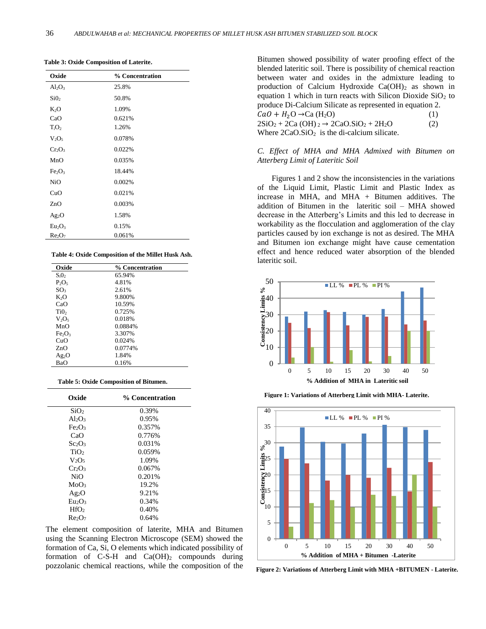| Oxide                          | % Concentration |
|--------------------------------|-----------------|
| $Al_2O_3$                      | 25.8%           |
| SiO <sub>2</sub>               | 50.8%           |
| K <sub>2</sub> O               | 1.09%           |
| CaO                            | 0.621%          |
| $T_iO_2$                       | 1.26%           |
| $V_2O_5$                       | 0.078%          |
| $Cr_2O_3$                      | 0.022%          |
| MnO                            | 0.035%          |
| Fe <sub>2</sub> O <sub>3</sub> | 18.44%          |
| N <sub>i</sub> O               | 0.002%          |
| CuO                            | 0.021%          |
| ZnO                            | 0.003%          |
| $Ag_2O$                        | 1.58%           |
| Eu <sub>2</sub> O <sub>3</sub> | 0.15%           |
| Re <sub>2</sub> O <sub>7</sub> | 0.061%          |

**Table 3: Oxide Composition of Laterite.**

#### **Table 4: Oxide Composition of the Millet Husk Ash.**

| Oxide                          | % Concentration |
|--------------------------------|-----------------|
| $S_iO_2$                       | 65.94%          |
| $P_2O_5$                       | 4.81%           |
| SO <sub>3</sub>                | 2.61%           |
| $K_2O$                         | 9.800%          |
| CaO                            | 10.59%          |
| Ti <sub>0</sub> ,              | 0.725%          |
| $V_2O_5$                       | 0.018%          |
| MnO                            | 0.0884%         |
| Fe <sub>2</sub> O <sub>3</sub> | 3.307%          |
| CuO                            | 0.024%          |
| ZnO                            | 0.0774%         |
| $Ag_2O$                        | 1.84%           |
| BaO                            | 0.16%           |

| <b>Table 5: Oxide Composition of Bitumen.</b> |  |
|-----------------------------------------------|--|
|-----------------------------------------------|--|

| Oxide                          | % Concentration |
|--------------------------------|-----------------|
| SiO <sub>2</sub>               | 0.39%           |
| $Al_2O_3$                      | 0.95%           |
| Fe <sub>2</sub> O <sub>3</sub> | 0.357%          |
| CaO                            | 0.776%          |
| Sc <sub>2</sub> O <sub>3</sub> | 0.031%          |
| TiO <sub>2</sub>               | 0.059%          |
| $V_2O_5$                       | 1.09%           |
| Cr2O <sub>3</sub>              | 0.067%          |
| NiO                            | 0.201%          |
| MoO <sub>3</sub>               | 19.2%           |
| Ag <sub>2</sub> O              | 9.21%           |
| Eu <sub>2</sub> O <sub>3</sub> | 0.34%           |
| HfO <sub>2</sub>               | 0.40%           |
| Re <sub>2</sub> O <sub>7</sub> | 0.64%           |

The element composition of laterite, MHA and Bitumen using the Scanning Electron Microscope (SEM) showed the formation of Ca, Si, O elements which indicated possibility of formation of C-S-H and  $Ca(OH)_2$  compounds during pozzolanic chemical reactions, while the composition of the

Bitumen showed possibility of water proofing effect of the blended lateritic soil. There is possibility of chemical reaction between water and oxides in the admixture leading to production of Calcium Hydroxide Ca(OH)<sub>2</sub> as shown in equation 1 which in turn reacts with Silicon Dioxide  $SiO<sub>2</sub>$  to produce Di-Calcium Silicate as represented in equation 2.  $CaO + H_2O \rightarrow Ca (H_2O)$  (1)  $2SiO_2 + 2Ca(OH)_{2} \rightarrow 2CaO.SiO_2 + 2H_{2}O$  (2) Where  $2CaO.SiO<sub>2</sub>$  is the di-calcium silicate.

## *C. Effect of MHA and MHA Admixed with Bitumen on Atterberg Limit of Lateritic Soil*

Figures 1 and 2 show the inconsistencies in the variations of the Liquid Limit, Plastic Limit and Plastic Index as increase in MHA, and MHA + Bitumen additives. The addition of Bitumen in the lateritic soil – MHA showed decrease in the Atterberg's Limits and this led to decrease in workability as the flocculation and agglomeration of the clay particles caused by ion exchange is not as desired. The MHA and Bitumen ion exchange might have cause cementation effect and hence reduced water absorption of the blended lateritic soil.



**Figure 1: Variations of Atterberg Limit with MHA- Laterite.**



**Figure 2: Variations of Atterberg Limit with MHA +BITUMEN - Laterite.**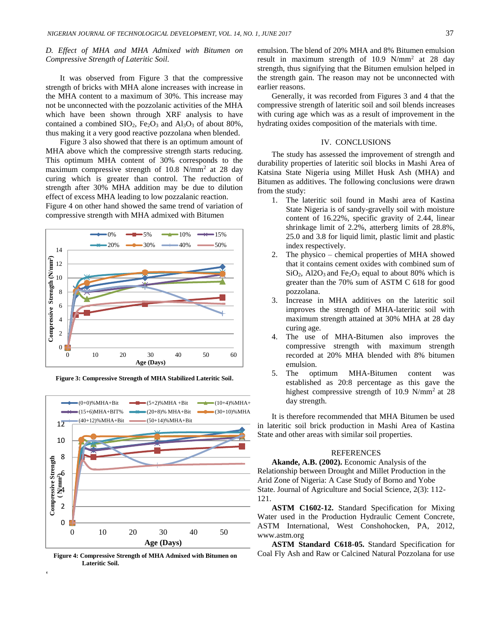## *D. Effect of MHA and MHA Admixed with Bitumen on Compressive Strength of Lateritic Soil.*

It was observed from Figure 3 that the compressive strength of bricks with MHA alone increases with increase in the MHA content to a maximum of 30%. This increase may not be unconnected with the pozzolanic activities of the MHA which have been shown through XRF analysis to have contained a combined  $SIO_2$ ,  $Fe<sub>2</sub>O<sub>3</sub>$  and  $Al<sub>3</sub>O<sub>3</sub>$  of about 80%, thus making it a very good reactive pozzolana when blended.

Figure 3 also showed that there is an optimum amount of MHA above which the compressive strength starts reducing. This optimum MHA content of 30% corresponds to the maximum compressive strength of  $10.8 \text{ N/mm}^2$  at 28 day curing which is greater than control. The reduction of strength after 30% MHA addition may be due to dilution effect of excess MHA leading to low pozzalanic reaction.

Figure 4 on other hand showed the same trend of variation of compressive strength with MHA admixed with Bitumen



**Figure 3: Compressive Strength of MHA Stabilized Lateritic Soil.**



**Figure 4: Compressive Strength of MHA Admixed with Bitumen on Lateritic Soil.**

\*Corresponding author's e-mail address: [amtaytechnology@yahoo.com](mailto:amtaytechnology@yahoo.com) **doi:** http://dx.doi.org/10.4314/njtd.v13i1.1

emulsion. The blend of 20% MHA and 8% Bitumen emulsion result in maximum strength of 10.9 N/mm<sup>2</sup> at 28 day strength, thus signifying that the Bitumen emulsion helped in the strength gain. The reason may not be unconnected with earlier reasons.

Generally, it was recorded from Figures 3 and 4 that the compressive strength of lateritic soil and soil blends increases with curing age which was as a result of improvement in the hydrating oxides composition of the materials with time.

## IV. CONCLUSIONS

The study has assessed the improvement of strength and durability properties of lateritic soil blocks in Mashi Area of Katsina State Nigeria using Millet Husk Ash (MHA) and Bitumen as additives. The following conclusions were drawn from the study:

- 1. The lateritic soil found in Mashi area of Kastina State Nigeria is of sandy-gravelly soil with moisture content of 16.22%, specific gravity of 2.44, linear shrinkage limit of 2.2%, atterberg limits of 28.8%, 25.0 and 3.8 for liquid limit, plastic limit and plastic index respectively.
- 2. The physico chemical properties of MHA showed that it contains cement oxides with combined sum of  $SiO<sub>2</sub>$ , Al2O<sub>3</sub> and Fe<sub>2</sub>O<sub>3</sub> equal to about 80% which is greater than the 70% sum of ASTM C 618 for good pozzolana.
- 3. Increase in MHA additives on the lateritic soil improves the strength of MHA-lateritic soil with maximum strength attained at 30% MHA at 28 day curing age.
- 4. The use of MHA-Bitumen also improves the compressive strength with maximum strength recorded at 20% MHA blended with 8% bitumen emulsion.
- 5. The optimum MHA-Bitumen content was established as 20:8 percentage as this gave the highest compressive strength of 10.9 N/mm<sup>2</sup> at 28 day strength.

It is therefore recommended that MHA Bitumen be used in lateritic soil brick production in Mashi Area of Kastina State and other areas with similar soil properties.

#### **REFERENCES**

**Akande, A.B. (2002).** Economic Analysis of the Relationship between Drought and Millet Production in the Arid Zone of Nigeria: A Case Study of Borno and Yobe State. Journal of Agriculture and Social Science, 2(3): 112- 121.

**ASTM C1602-12.** Standard Specification for Mixing Water used in the Production Hydraulic Cement Concrete, ASTM International, West Conshohocken, PA, 2012, www.astm.org

**ASTM Standard C618-05.** Standard Specification for Coal Fly Ash and Raw or Calcined Natural Pozzolana for use